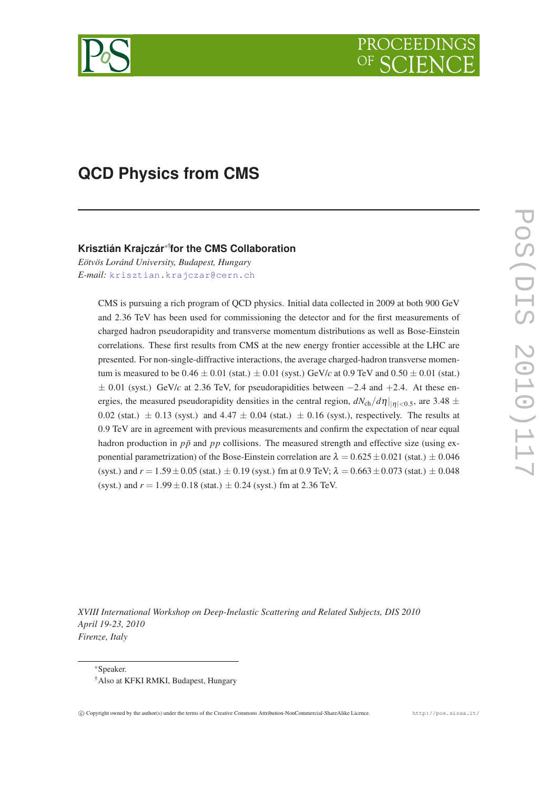

# **QCD Physics from CMS**

# **Krisztián Krajczár**∗† **for the CMS Collaboration**

*Eötvös Loránd University, Budapest, Hungary E-mail:* [krisztian.krajczar@cern.ch](mailto:krisztian.krajczar@cern.ch)

> CMS is pursuing a rich program of QCD physics. Initial data collected in 2009 at both 900 GeV and 2.36 TeV has been used for commissioning the detector and for the first measurements of charged hadron pseudorapidity and transverse momentum distributions as well as Bose-Einstein correlations. These first results from CMS at the new energy frontier accessible at the LHC are presented. For non-single-diffractive interactions, the average charged-hadron transverse momentum is measured to be  $0.46 \pm 0.01$  (stat.)  $\pm 0.01$  (syst.) GeV/*c* at 0.9 TeV and  $0.50 \pm 0.01$  (stat.)  $\pm$  0.01 (syst.) GeV/*c* at 2.36 TeV, for pseudorapidities between  $-2.4$  and  $+2.4$ . At these energies, the measured pseudorapidity densities in the central region,  $dN_{ch}/d\eta|_{|\eta|<0.5}$ , are 3.48  $\pm$ 0.02 (stat.)  $\pm$  0.13 (syst.) and 4.47  $\pm$  0.04 (stat.)  $\pm$  0.16 (syst.), respectively. The results at 0.9 TeV are in agreement with previous measurements and confirm the expectation of near equal hadron production in  $p\bar{p}$  and  $pp$  collisions. The measured strength and effective size (using exponential parametrization) of the Bose-Einstein correlation are  $\lambda = 0.625 \pm 0.021$  (stat.)  $\pm 0.046$ (syst.) and  $r = 1.59 \pm 0.05$  (stat.)  $\pm 0.19$  (syst.) fm at 0.9 TeV;  $\lambda = 0.663 \pm 0.073$  (stat.)  $\pm 0.048$ (syst.) and  $r = 1.99 \pm 0.18$  (stat.)  $\pm 0.24$  (syst.) fm at 2.36 TeV.

*XVIII International Workshop on Deep-Inelastic Scattering and Related Subjects, DIS 2010 April 19-23, 2010 Firenze, Italy*

<sup>∗</sup>Speaker.

<sup>†</sup>Also at KFKI RMKI, Budapest, Hungary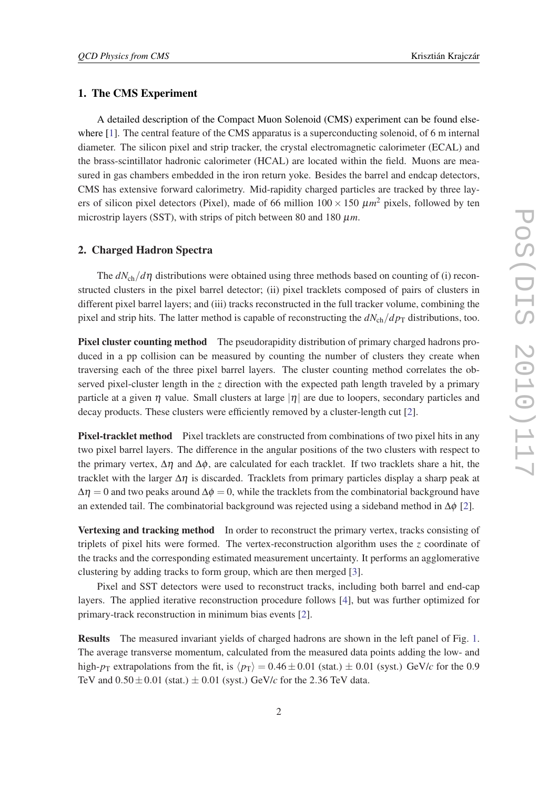### 1. The CMS Experiment

A detailed description of the Compact Muon Solenoid (CMS) experiment can be found elsewhere [\[1\]](#page-4-0). The central feature of the CMS apparatus is a superconducting solenoid, of 6 m internal diameter. The silicon pixel and strip tracker, the crystal electromagnetic calorimeter (ECAL) and the brass-scintillator hadronic calorimeter (HCAL) are located within the field. Muons are measured in gas chambers embedded in the iron return yoke. Besides the barrel and endcap detectors, CMS has extensive forward calorimetry. Mid-rapidity charged particles are tracked by three layers of silicon pixel detectors (Pixel), made of 66 million  $100 \times 150 \ \mu m^2$  pixels, followed by ten microstrip layers (SST), with strips of pitch between 80 and 180  $\mu$ m.

#### 2. Charged Hadron Spectra

The *dN*ch/*d*η distributions were obtained using three methods based on counting of (i) reconstructed clusters in the pixel barrel detector; (ii) pixel tracklets composed of pairs of clusters in different pixel barrel layers; and (iii) tracks reconstructed in the full tracker volume, combining the pixel and strip hits. The latter method is capable of reconstructing the  $dN_{ch}/dp_T$  distributions, too.

Pixel cluster counting method The pseudorapidity distribution of primary charged hadrons produced in a pp collision can be measured by counting the number of clusters they create when traversing each of the three pixel barrel layers. The cluster counting method correlates the observed pixel-cluster length in the *z* direction with the expected path length traveled by a primary particle at a given  $\eta$  value. Small clusters at large  $|\eta|$  are due to loopers, secondary particles and decay products. These clusters were efficiently removed by a cluster-length cut [[2](#page-4-0)].

Pixel-tracklet method Pixel tracklets are constructed from combinations of two pixel hits in any two pixel barrel layers. The difference in the angular positions of the two clusters with respect to the primary vertex,  $\Delta \eta$  and  $\Delta \phi$ , are calculated for each tracklet. If two tracklets share a hit, the tracklet with the larger  $\Delta \eta$  is discarded. Tracklets from primary particles display a sharp peak at  $\Delta \eta = 0$  and two peaks around  $\Delta \phi = 0$ , while the tracklets from the combinatorial background have an extended tail. The combinatorial background was rejected using a sideband method in  $\Delta \phi$  [\[2\]](#page-4-0).

Vertexing and tracking method In order to reconstruct the primary vertex, tracks consisting of triplets of pixel hits were formed. The vertex-reconstruction algorithm uses the *z* coordinate of the tracks and the corresponding estimated measurement uncertainty. It performs an agglomerative clustering by adding tracks to form group, which are then merged [[3](#page-4-0)].

Pixel and SST detectors were used to reconstruct tracks, including both barrel and end-cap layers. The applied iterative reconstruction procedure follows [[4](#page-4-0)], but was further optimized for primary-track reconstruction in minimum bias events [[2](#page-4-0)].

Results The measured invariant yields of charged hadrons are shown in the left panel of Fig. [1](#page-2-0). The average transverse momentum, calculated from the measured data points adding the low- and high- $p_T$  extrapolations from the fit, is  $\langle p_T \rangle = 0.46 \pm 0.01$  (stat.)  $\pm$  0.01 (syst.) GeV/*c* for the 0.9 TeV and  $0.50 \pm 0.01$  (stat.)  $\pm 0.01$  (syst.) GeV/*c* for the 2.36 TeV data.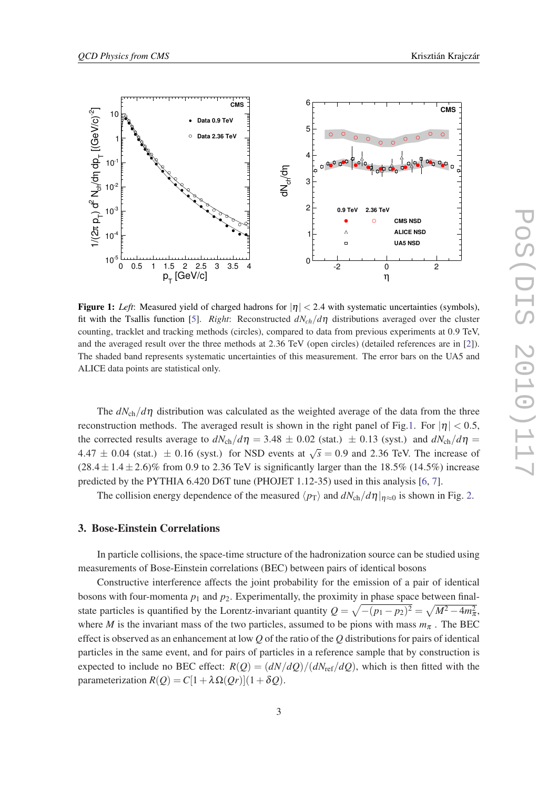<span id="page-2-0"></span>

**Figure 1:** *Left*: Measured yield of charged hadrons for  $|\eta| < 2.4$  with systematic uncertainties (symbols), fit with the Tsallis function [\[5](#page-4-0)]. *Right*: Reconstructed  $dN_{ch}/d\eta$  distributions averaged over the cluster counting, tracklet and tracking methods (circles), compared to data from previous experiments at 0.9 TeV, and the averaged result over the three methods at 2.36 TeV (open circles) (detailed references are in [[2\]](#page-4-0)). The shaded band represents systematic uncertainties of this measurement. The error bars on the UA5 and ALICE data points are statistical only.

The  $dN_{\rm ch}/d\eta$  distribution was calculated as the weighted average of the data from the three reconstruction methods. The averaged result is shown in the right panel of Fig.1. For  $|\eta| < 0.5$ , the corrected results average to  $dN_{ch}/d\eta = 3.48 \pm 0.02$  (stat.)  $\pm$  0.13 (syst.) and  $dN_{ch}/d\eta =$ 4.47  $\pm$  0.04 (stat.)  $\pm$  0.16 (syst.) for NSD events at  $\sqrt{s}$  = 0.9 and 2.36 TeV. The increase of  $(28.4 \pm 1.4 \pm 2.6)\%$  from 0.9 to 2.36 TeV is significantly larger than the 18.5% (14.5%) increase predicted by the PYTHIA 6.420 D6T tune (PHOJET 1.12-35) used in this analysis [\[6,](#page-4-0) [7\]](#page-4-0).

The collision energy dependence of the measured  $\langle p_T \rangle$  and  $dN_{ch}/d\eta|_{\eta \approx 0}$  is shown in Fig. [2](#page-3-0).

## 3. Bose-Einstein Correlations

In particle collisions, the space-time structure of the hadronization source can be studied using measurements of Bose-Einstein correlations (BEC) between pairs of identical bosons

Constructive interference affects the joint probability for the emission of a pair of identical bosons with four-momenta  $p_1$  and  $p_2$ . Experimentally, the proximity in phase space between finalstate particles is quantified by the Lorentz-invariant quantity  $Q = \sqrt{-(p_1 - p_2)^2} = \sqrt{M^2 - 4m_\pi^2}$ , where *M* is the invariant mass of the two particles, assumed to be pions with mass  $m_\pi$ . The BEC effect is observed as an enhancement at low *Q* of the ratio of the *Q* distributions for pairs of identical particles in the same event, and for pairs of particles in a reference sample that by construction is expected to include no BEC effect:  $R(Q) = (dN/dQ)/(dN_{\text{ref}}/dQ)$ , which is then fitted with the parameterization  $R(Q) = C[1 + \lambda \Omega(Qr)](1+\delta Q)$ .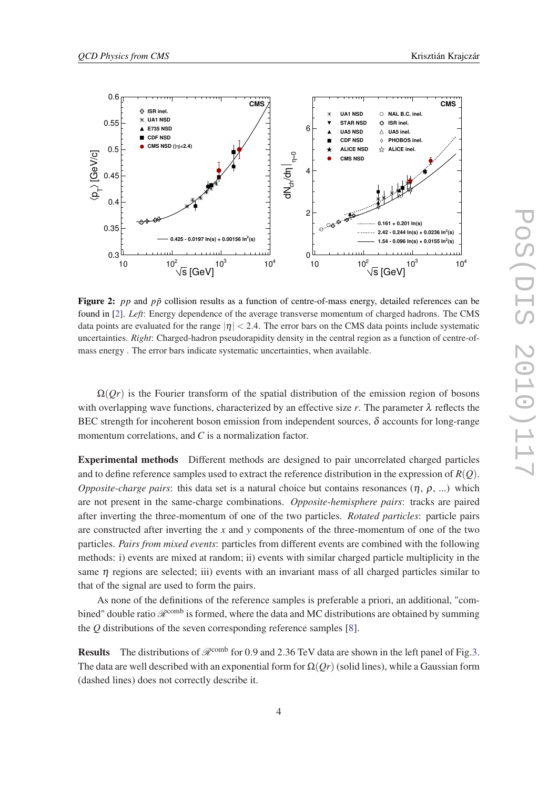<span id="page-3-0"></span>

Figure 2: *pp* and *pp* collision results as a function of centre-of-mass energy, detailed references can be found in [[2\]](#page-4-0). *Left*: Energy dependence of the average transverse momentum of charged hadrons. The CMS data points are evaluated for the range  $|\eta| < 2.4$ . The error bars on the CMS data points include systematic uncertainties. *Right*: Charged-hadron pseudorapidity density in the central region as a function of centre-ofmass energy . The error bars indicate systematic uncertainties, when available.

 $\Omega$ (*Qr*) is the Fourier transform of the spatial distribution of the emission region of bosons with overlapping wave functions, characterized by an effective size  $r$ . The parameter  $\lambda$  reflects the BEC strength for incoherent boson emission from independent sources,  $\delta$  accounts for long-range momentum correlations, and *C* is a normalization factor.

Experimental methods Different methods are designed to pair uncorrelated charged particles and to define reference samples used to extract the reference distribution in the expression of  $R(Q)$ . *Opposite-charge pairs*: this data set is a natural choice but contains resonances (η, ρ, ...) which are not present in the same-charge combinations. *Opposite-hemisphere pairs*: tracks are paired after inverting the three-momentum of one of the two particles. *Rotated particles*: particle pairs are constructed after inverting the *x* and *y* components of the three-momentum of one of the two particles. *Pairs from mixed events*: particles from different events are combined with the following methods: i) events are mixed at random; ii) events with similar charged particle multiplicity in the same  $\eta$  regions are selected; iii) events with an invariant mass of all charged particles similar to that of the signal are used to form the pairs.

As none of the definitions of the reference samples is preferable a priori, an additional, "combined" double ratio  $\mathcal{R}^{\text{comb}}$  is formed, where the data and MC distributions are obtained by summing the *Q* distributions of the seven corresponding reference samples [\[8](#page-4-0)].

**Results** The distributions of  $\mathcal{R}^{\text{comb}}$  for 0.9 and 2.[3](#page-4-0)6 TeV data are shown in the left panel of Fig.3. The data are well described with an exponential form for  $\Omega(\mathcal{O}_r)$  (solid lines), while a Gaussian form (dashed lines) does not correctly describe it.